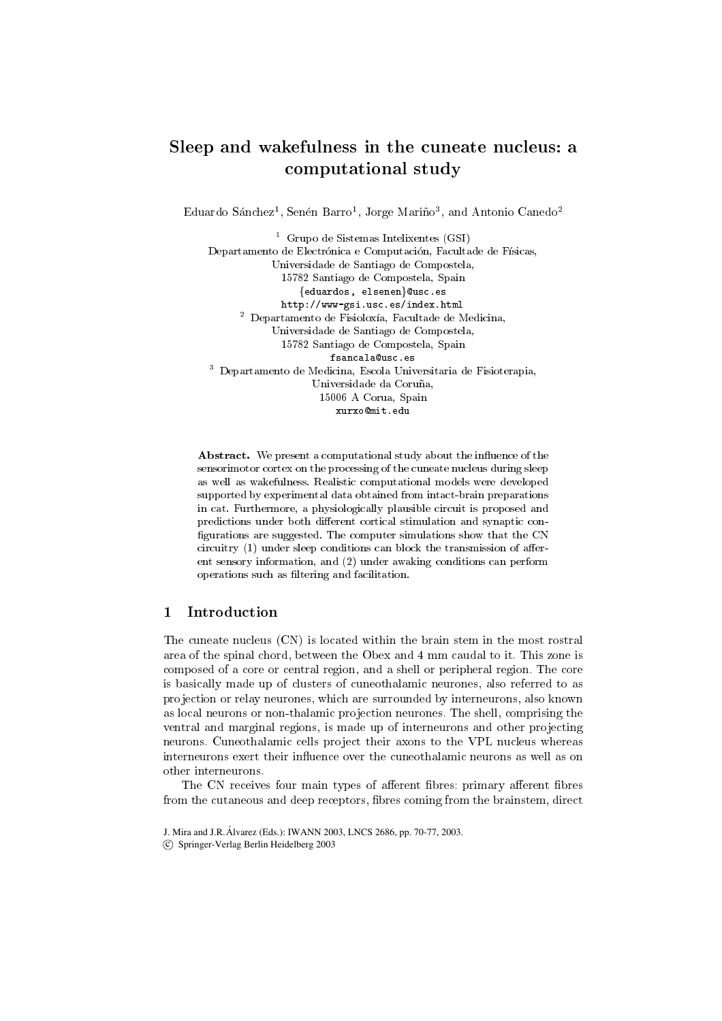# Sleep and wakefulness in the cuneate nucleus: <sup>a</sup> computational study

Equardo Sanchez<sup>-</sup>, Senen Barro<sup>-</sup>, Jorge Marino<sup>-</sup>, and Antonio Canedo<sup>-</sup>

<sup>1</sup> Grupo de Sistemas Intelixentes (GSI) Departamento de Electrónica e Computación, Facultade de Físicas, Universidade de Santiago de Compostela, 15782 Santiago de Compostela, Spain  ${eduardos, el senen}$ @usc.es http://www-gsi.usc.es/index.html<sup>2</sup> Departamento de Fisioloxa, Facultade de Medicina, Universidade de Santiago de Compostela, 15782 Santiago de Compostela, Spain fsancala@usc.es<sup>3</sup> Departamento de Medicina, Escola Universitaria de Fisioterapia, Universidade da Coruña, 15006 A Corua, Spain xurxo@mit.edu

Abstract. We present a computational study about the influence of the sensorimotor cortex on the processing of the cuneate nucleus during sleep as well as wakefulness. Realistic computational models were developed supported by experimental data obtained from intact-brain preparations in cat. Furthermore, a physiologically plausible circuit is proposed and predictions under both different cortical stimulation and synaptic configurations are suggested. The computer simulations show that the CN circuitry  $(1)$  under sleep conditions can block the transmission of afferent sensory information, and (2) under awaking conditions can perform operations such as ltering and facilitation.

#### $\mathbf{1}$ Introduction

The cuneate nucleus (CN) is located within the brain stem in the most rostral area of the spinal chord, between the Obex and 4 mm caudal to it. This zone is composed of a core or central region, and a shell or peripheral region. The core is basically made up of clusters of cuneothalamic neurones, also referred to as pro jection or relay neurones, which are surrounded by interneurons, also known as local neurons or non-thalamic projection neurones. The shell, comprising the ventral and marginal regions, is made up of interneurons and other projecting neurons. Cuneothalamic cells project their axons to the VPL nucleus whereas interneurons exert their influence over the cuneothalamic neurons as well as on other interneurons.

The CN receives four main types of afferent fibres: primary afferent fibres from the cutaneous and deep receptors, bres coming from the brainstem, direct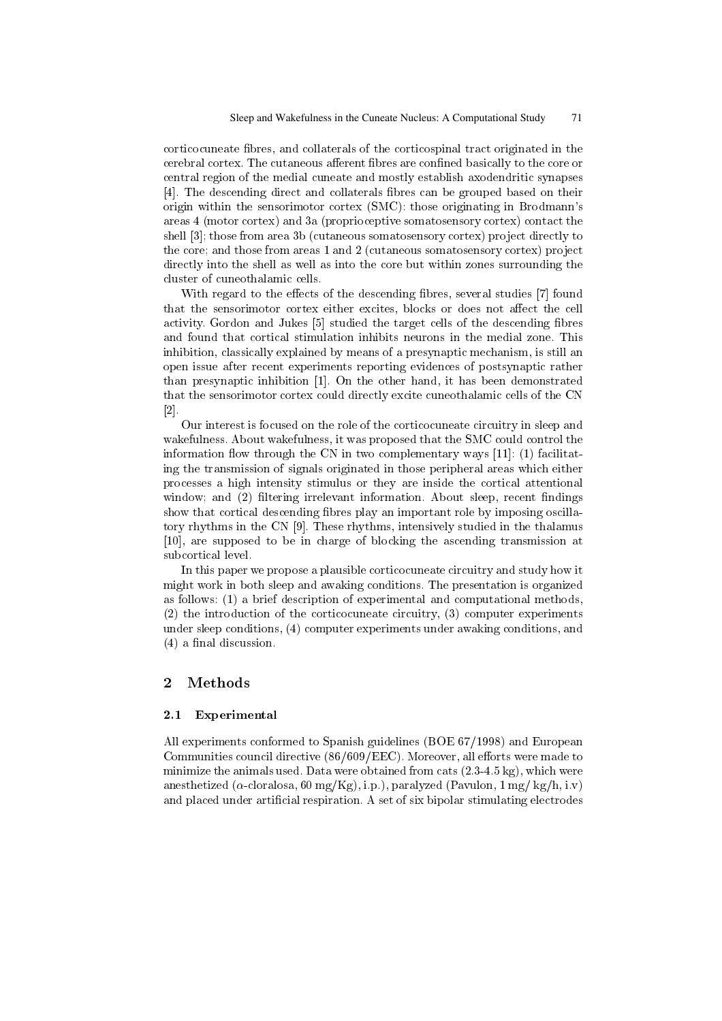corticocuneate bres, and collaterals of the corticospinal tract originated in the cerebral cortex. The cutaneous afferent fibres are confined basically to the core or central region of the medial cuneate and mostly establish axodendritic synapses [4]. The descending direct and collaterals fibres can be grouped based on their origin within the sensorimotor cortex (SMC): those originating in Brodmann's areas 4 (motor cortex) and 3a (proprioceptive somatosensory cortex) contact the shell [3]; those from area 3b (cutaneous somatosensory cortex) project directly to the core; and those from areas 1 and 2 (cutaneous somatosensory cortex) project directly into the shell as well as into the core but within zones surrounding the cluster of cuneothalamic cells.

With regard to the effects of the descending fibres, several studies [7] found that the sensorimotor cortex either excites, blocks or does not affect the cell activity. Gordon and Jukes [5] studied the target cells of the descending fibres and found that cortical stimulation inhibits neurons in the medial zone. This inhibition, classically explained by means of a presynaptic mechanism, is still an open issue after recent experiments reporting evidences of postsynaptic rather than presynaptic inhibition [1]. On the other hand, it has been demonstrated that the sensorimotor cortex could directly excite cuneothalamic cells of the CN [2].

Our interest is focused on the role of the corticocuneate circuitry in sleep and wakefulness. About wakefulness, it was proposed that the SMC could control the information flow through the CN in two complementary ways  $[11]$ : (1) facilitating the transmission of signals originated in those peripheral areas which either processes a high intensity stimulus or they are inside the cortical attentional window; and (2) filtering irrelevant information. About sleep, recent findings show that cortical descending bres play an important role by imposing oscillatory rhythms in the CN [9]. These rhythms, intensively studied in the thalamus [10], are supposed to be in charge of blocking the ascending transmission at subcortical level.

In this paper we propose a plausible corticocuneate circuitry and study how it might work in both sleep and awaking conditions. The presentation is organized as follows: (1) a brief description of experimental and computational methods, (2) the introduction of the corticocuneate circuitry, (3) computer experiments under sleep conditions, (4) computer experiments under awaking conditions, and  $(4)$  a final discussion.

#### $\overline{2}$ Methods

### 2.1 Experimental

All experiments conformed to Spanish guidelines (BOE 67/1998) and European Communities council directive  $(86/609/EEC)$ . Moreover, all efforts were made to minimize the animals used. Data were obtained from cats (2.3-4.5 kg), which were anesthetized ( $\alpha$ -cloralosa, 60 mg/Kg), i.p.), paralyzed (Pavulon, 1 mg/ kg/h, i.v) and placed under articial respiration. A set of six bipolar stimulating electrodes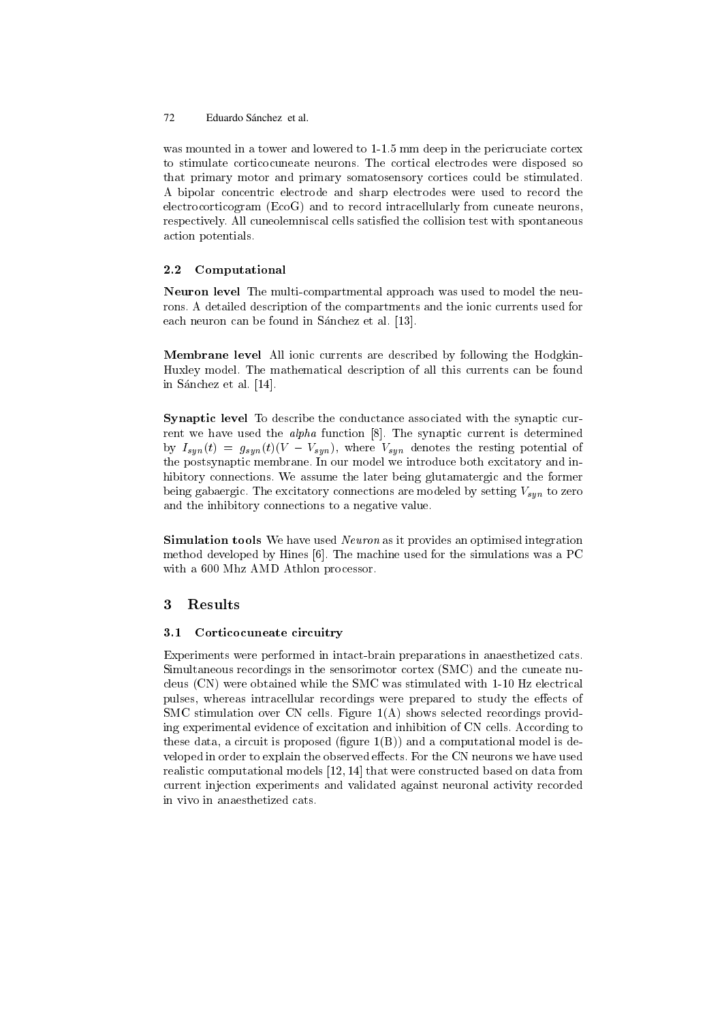was mounted in a tower and lowered to 1-1.5 mm deep in the pericruciate cortex to stimulate corticocuneate neurons. The cortical electrodes were disposed so that primary motor and primary somatosensory cortices could be stimulated. A bipolar concentric electrode and sharp electrodes were used to record the electrocorticogram (EcoG) and to record intracellularly from cuneate neurons, respectively. All cuneolemniscal cells satisfied the collision test with spontaneous action potentials.

## 2.2 Computational

Neuron level The multi-compartmental approach was used to model the neurons. A detailed description of the compartments and the ionic currents used for each neuron can be found in Sánchez et al. [13].

Membrane level All ionic currents are described by following the Hodgkin-Huxley model. The mathematical description of all this currents can be found in Sánchez et al. [14].

Synaptic level To describe the conductance associated with the synaptic current we have used the *alpha* function [8]. The synaptic current is determined by  $I_{syn}(t) = g_{syn}(t)(V - V_{syn})$ , where  $V_{syn}$  denotes the resting potential of the postsynaptic membrane. In our model we introduce both excitatory and inhibitory connections. We assume the later being glutamatergic and the former being gabaergic. The excitatory connections are modeled by setting  $V_{sun}$  to zero and the inhibitory connections to a negative value.

Simulation tools We have used Neuron as it provides an optimised integration method developed by Hines [6]. The machine used for the simulations was a PC with a 600 Mhz AMD Athlon processor.

#### 3 **Results**

## 3.1 Corticocuneate circuitry

Experiments were performed in intact-brain preparations in anaesthetized cats. Simultaneous recordings in the sensorimotor cortex (SMC) and the cuneate nucleus (CN) were obtained while the SMC was stimulated with 1-10 Hz electrical pulses, whereas intracellular recordings were prepared to study the effects of SMC stimulation over CN cells. Figure 1(A) shows selected recordings providing experimental evidence of excitation and inhibition of CN cells. According to these data, a circuit is proposed (figure  $1(B)$ ) and a computational model is developed in order to explain the observed effects. For the CN neurons we have used realistic computational models [12, 14] that were constructed based on data from current injection experiments and validated against neuronal activity recorded in vivo in anaesthetized cats.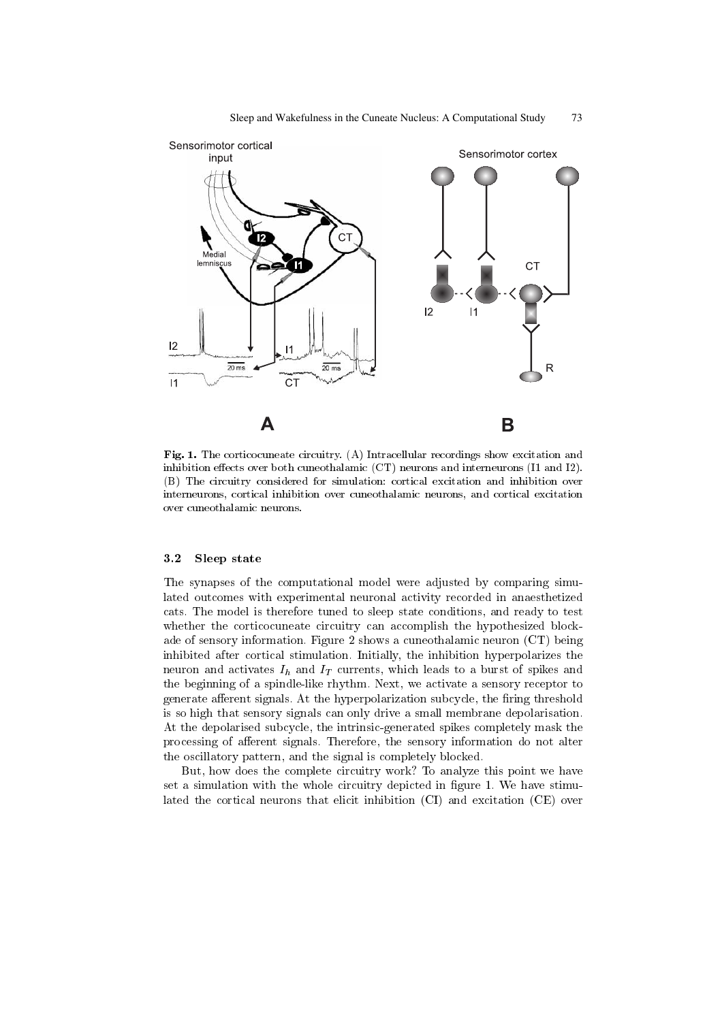

Fig. 1. The corticocuneate circuitry. (A) Intracellular recordings show excitation and inhibition effects over both cuneothalamic  $(CT)$  neurons and interneurons  $(11$  and  $12)$ . (B) The circuitry considered for simulation: cortical excitation and inhibition over interneurons, cortical inhibition over cuneothalamic neurons, and cortical excitation over cuneothalamic neurons.

#### $3.2$ Sleep state

The synapses of the computational model were adjusted by comparing simulated outcomes with experimental neuronal activity recorded in anaesthetized cats. The model is therefore tuned to sleep state conditions, and ready to test whether the corticocuneate circuitry can accomplish the hypothesized blockade of sensory information. Figure 2 shows a cuneothalamic neuron (CT) being inhibited after cortical stimulation. Initially, the inhibition hyperpolarizes the neuron and activates  $I_h$  and  $I_T$  currents, which leads to a burst of spikes and the beginning of a spindle-like rhythm. Next, we activate a sensory receptor to generate afferent signals. At the hyperpolarization subcycle, the firing threshold is so high that sensory signals can only drive a small membrane depolarisation. At the depolarised subcycle, the intrinsic-generated spikes completely mask the processing of afferent signals. Therefore, the sensory information do not alter the oscillatory pattern, and the signal is completely blocked.

But, how does the complete circuitry work? To analyze this point we have set a simulation with the whole circuitry depicted in figure 1. We have stimulated the cortical neurons that elicit inhibition (CI) and excitation (CE) over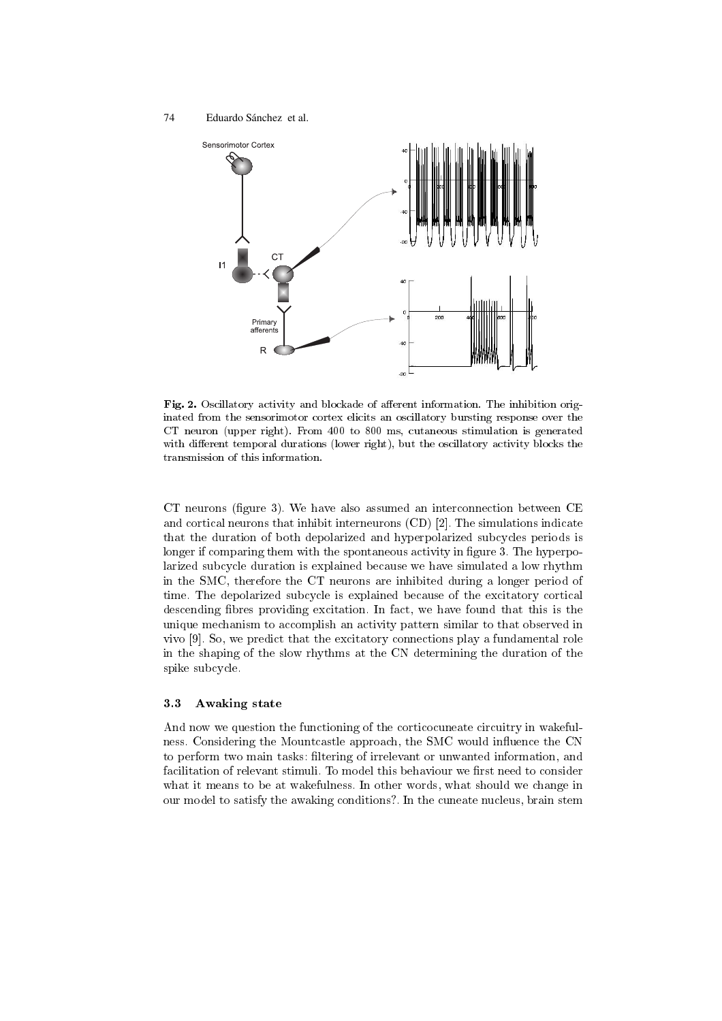

Fig. 2. Oscillatory activity and blockade of afferent information. The inhibition originated from the sensorimotor cortex elicits an oscillatory bursting response over the CT neuron (upper right). From 400 to 800 ms, cutaneous stimulation is generated with different temporal durations (lower right), but the oscillatory activity blocks the transmission of this information.

CT neurons (figure 3). We have also assumed an interconnection between  $CE$ and cortical neurons that inhibit interneurons (CD) [2]. The simulations indicate that the duration of both depolarized and hyperpolarized subcycles periods is longer if comparing them with the spontaneous activity in figure 3. The hyperpolarized subcycle duration is explained because we have simulated a low rhythm in the SMC, therefore the CT neurons are inhibited during a longer period of time. The depolarized subcycle is explained because of the excitatory cortical descending bres providing excitation. In fact, we have found that this is the unique mechanism to accomplish an activity pattern similar to that observed in vivo [9]. So, we predict that the excitatory connections play a fundamental role in the shaping of the slow rhythms at the CN determining the duration of the spike subcycle.

### 3.3 Awaking state

And now we question the functioning of the corticocuneate circuitry in wakefulness. Considering the Mountcastle approach, the SMC would influence the CN to perform two main tasks: ltering of irrelevant or unwanted information, and facilitation of relevant stimuli. To model this behaviour we first need to consider what it means to be at wakefulness. In other words, what should we change in our model to satisfy the awaking conditions?. In the cuneate nucleus, brain stem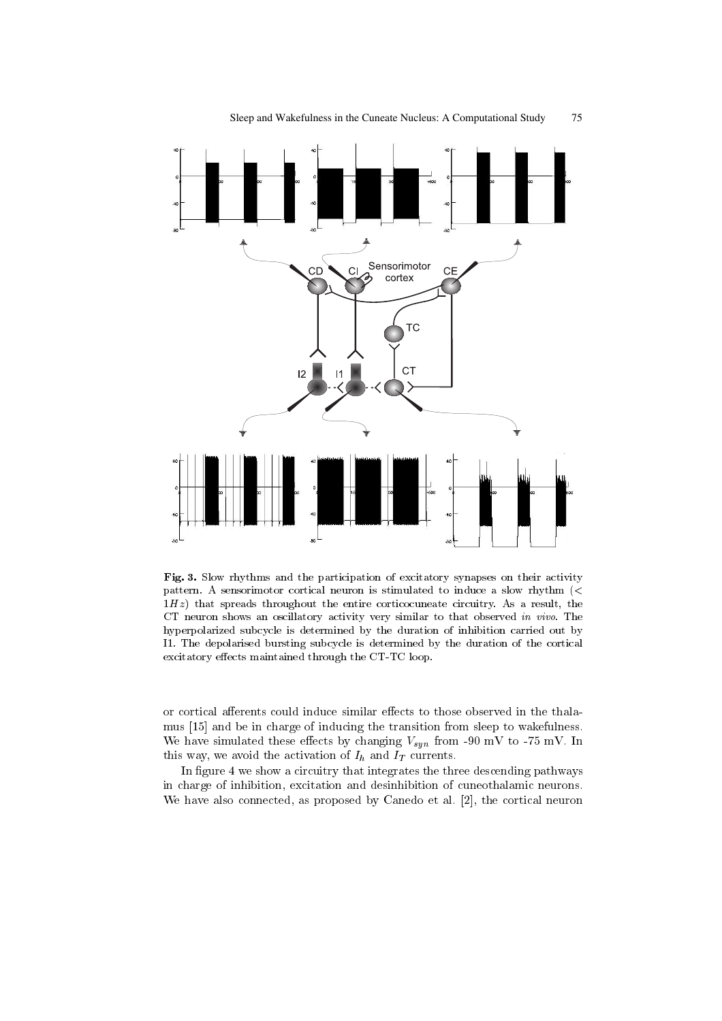

Fig. 3. Slow rhythms and the participation of excitatory synapses on their activity pattern. A sensorimotor cortical neuron is stimulated to induce a slow rhythm (<sup>&</sup>lt;  $1Hz$ ) that spreads throughout the entire corticocuneate circuitry. As a result, the CT neuron shows an oscillatory activity very similar to that observed in vivo. The hyperpolarized subcycle is determined by the duration of inhibition carried out by I1. The depolarised bursting subcycle is determined by the duration of the cortical excitatory effects maintained through the CT-TC loop.

or cortical afferents could induce similar effects to those observed in the thalamus [15] and be in charge of inducing the transition from sleep to wakefulness. We have simulated these effects by changing  $V_{syn}$  from -90 mV to -75 mV. In this way, we avoid the activation of  $I_h$  and  $I_T$  currents.

In figure 4 we show a circuitry that integrates the three descending pathways in charge of inhibition, excitation and desinhibition of cuneothalamic neurons. We have also connected, as proposed by Canedo et al. [2], the cortical neuron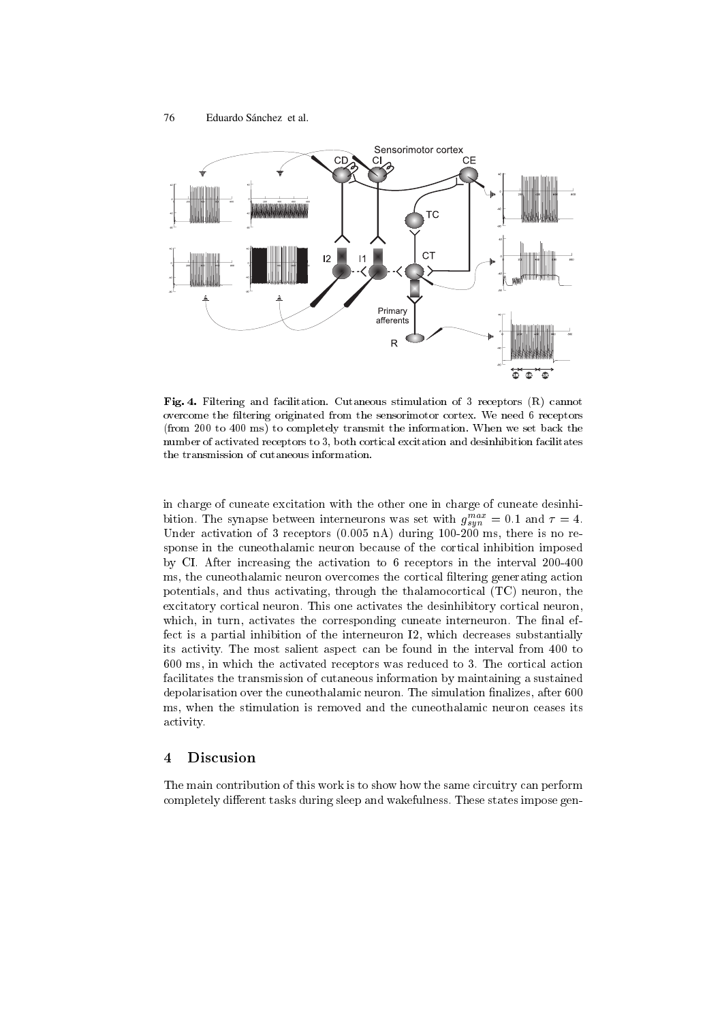

Fig. 4. Filtering and facilitation. Cutaneous stimulation of 3 receptors (R) cannot overcome the ltering originated from the sensorimotor cortex. We need 6 receptors (from 200 to 400 ms) to completely transmit the information. When we set back the number of activated receptors to 3, both cortical excitation and desinhibition facilitates the transmission of cutaneous information.

in charge of cuneate excitation with the other one in charge of cuneate desinhibition. The synapse between interneurons was set with  $g_{sun}$  = 0.1 and  $\tau$  = 4. Under activation of 3 receptors  $(0.005 \text{ nA})$  during  $100\text{-}200 \text{ ms}$ , there is no response in the cuneothalamic neuron because of the cortical inhibition imposed by CI.After increasing the activation to 6 receptors in the interval 200-400 ms, the cuneothalamic neuron overcomes the cortical filtering generating action potentials, and thus activating, through the thalamocortical (TC) neuron, the excitatory cortical neuron. This one activates the desinhibitory cortical neuron, which, in turn, activates the corresponding cuneate interneuron. The final effect is a partial inhibition of the interneuron I2, which decreases substantially its activity. The most salient aspect can be found in the interval from 400 to 600 ms, in which the activated receptors was reduced to 3. The cortical action facilitates the transmission of cutaneous information by maintaining a sustained depolarisation over the cuneothalamic neuron. The simulation finalizes, after 600 ms, when the stimulation is removed and the cuneothalamic neuron ceases its activity.

The main contribution of this work is to show how the same circuitry can perform completely different tasks during sleep and wakefulness. These states impose gen